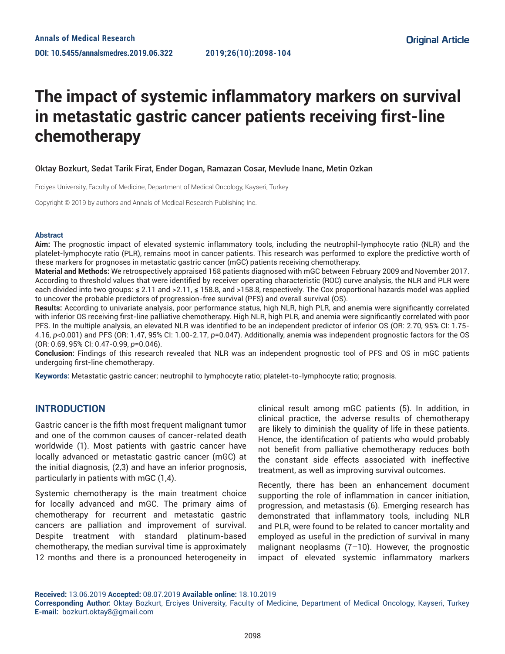# **The impact of systemic inflammatory markers on survival in metastatic gastric cancer patients receiving first-line chemotherapy**

## Oktay Bozkurt, Sedat Tarik Firat, Ender Dogan, Ramazan Cosar, Mevlude Inanc, Metin Ozkan

Erciyes University, Faculty of Medicine, Department of Medical Oncology, Kayseri, Turkey

Copyright © 2019 by authors and Annals of Medical Research Publishing Inc.

#### **Abstract**

**Aim:** The prognostic impact of elevated systemic inflammatory tools, including the neutrophil-lymphocyte ratio (NLR) and the platelet-lymphocyte ratio (PLR), remains moot in cancer patients. This research was performed to explore the predictive worth of these markers for prognoses in metastatic gastric cancer (mGC) patients receiving chemotherapy.

**Material and Methods:** We retrospectively appraised 158 patients diagnosed with mGC between February 2009 and November 2017. According to threshold values that were identified by receiver operating characteristic (ROC) curve analysis, the NLR and PLR were each divided into two groups: **≤** 2.11 and >2.11, **≤** 158.8, and >158.8, respectively. The Cox proportional hazards model was applied to uncover the probable predictors of progression-free survival (PFS) and overall survival (OS).

**Results:** According to univariate analysis, poor performance status, high NLR, high PLR, and anemia were significantly correlated with inferior OS receiving first-line palliative chemotherapy. High NLR, high PLR, and anemia were significantly correlated with poor PFS. In the multiple analysis, an elevated NLR was identified to be an independent predictor of inferior OS (OR: 2.70, 95% CI: 1.75- 4.16, *p*<0.001) and PFS (OR: 1.47, 95% CI: 1.00-2.17, *p*=0.047). Additionally, anemia was independent prognostic factors for the OS (OR: 0.69, 95% CI: 0.47-0.99, *p*=0.046).

**Conclusion:** Findings of this research revealed that NLR was an independent prognostic tool of PFS and OS in mGC patients undergoing first-line chemotherapy.

**Keywords:** Metastatic gastric cancer; neutrophil to lymphocyte ratio; platelet-to-lymphocyte ratio; prognosis.

# **INTRODUCTION**

Gastric cancer is the fifth most frequent malignant tumor and one of the common causes of cancer-related death worldwide (1). Most patients with gastric cancer have locally advanced or metastatic gastric cancer (mGC) at the initial diagnosis, (2,3) and have an inferior prognosis, particularly in patients with mGC (1,4).

Systemic chemotherapy is the main treatment choice for locally advanced and mGC. The primary aims of chemotherapy for recurrent and metastatic gastric cancers are palliation and improvement of survival. Despite treatment with standard platinum-based chemotherapy, the median survival time is approximately 12 months and there is a pronounced heterogeneity in clinical result among mGC patients (5). In addition, in clinical practice, the adverse results of chemotherapy are likely to diminish the quality of life in these patients. Hence, the identification of patients who would probably not benefit from palliative chemotherapy reduces both the constant side effects associated with ineffective treatment, as well as improving survival outcomes.

Recently, there has been an enhancement document supporting the role of inflammation in cancer initiation, progression, and metastasis (6). Emerging research has demonstrated that inflammatory tools, including NLR and PLR, were found to be related to cancer mortality and employed as useful in the prediction of survival in many malignant neoplasms (7–10). However, the prognostic impact of elevated systemic inflammatory markers

**Received:** 13.06.2019 **Accepted:** 08.07.2019 **Available online:** 18.10.2019

**Corresponding Author:** Oktay Bozkurt, Erciyes University, Faculty of Medicine, Department of Medical Oncology, Kayseri, Turkey **E-mail:** bozkurt.oktay8@gmail.com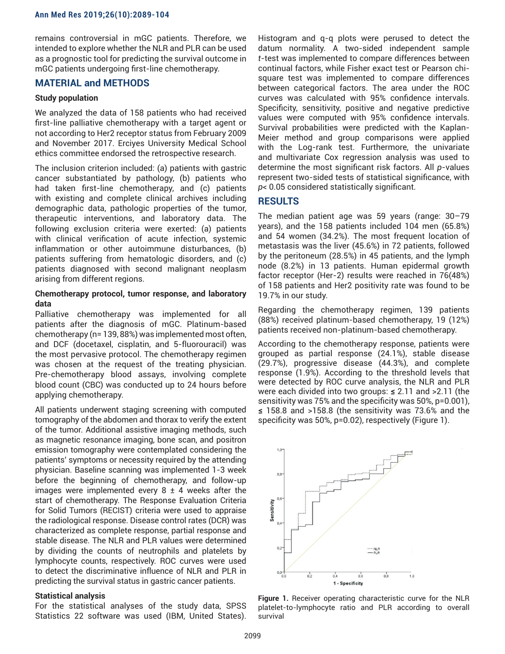remains controversial in mGC patients. Therefore, we intended to explore whether the NLR and PLR can be used as a prognostic tool for predicting the survival outcome in mGC patients undergoing first-line chemotherapy.

## **MATERIAL and METHODS**

#### **Study population**

We analyzed the data of 158 patients who had received first-line palliative chemotherapy with a target agent or not according to Her2 receptor status from February 2009 and November 2017. Erciyes University Medical School ethics committee endorsed the retrospective research.

The inclusion criterion included: (a) patients with gastric cancer substantiated by pathology, (b) patients who had taken first-line chemotherapy, and (c) patients with existing and complete clinical archives including demographic data, pathologic properties of the tumor, therapeutic interventions, and laboratory data. The following exclusion criteria were exerted: (a) patients with clinical verification of acute infection, systemic inflammation or other autoimmune disturbances, (b) patients suffering from hematologic disorders, and (c) patients diagnosed with second malignant neoplasm arising from different regions.

## **Chemotherapy protocol, tumor response, and laboratory data**

Palliative chemotherapy was implemented for all patients after the diagnosis of mGC. Platinum-based chemotherapy (n= 139, 88%) was implemented most often, and DCF (docetaxel, cisplatin, and 5-fluorouracil) was the most pervasive protocol. The chemotherapy regimen was chosen at the request of the treating physician. Pre-chemotherapy blood assays, involving complete blood count (CBC) was conducted up to 24 hours before applying chemotherapy.

All patients underwent staging screening with computed tomography of the abdomen and thorax to verify the extent of the tumor. Additional assistive imaging methods, such as magnetic resonance imaging, bone scan, and positron emission tomography were contemplated considering the patients' symptoms or necessity required by the attending physician. Baseline scanning was implemented 1-3 week before the beginning of chemotherapy, and follow-up images were implemented every  $8 \pm 4$  weeks after the start of chemotherapy. The Response Evaluation Criteria for Solid Tumors (RECIST) criteria were used to appraise the radiological response. Disease control rates (DCR) was characterized as complete response, partial response and stable disease. The NLR and PLR values were determined by dividing the counts of neutrophils and platelets by lymphocyte counts, respectively. ROC curves were used to detect the discriminative influence of NLR and PLR in predicting the survival status in gastric cancer patients.

#### **Statistical analysis**

For the statistical analyses of the study data, SPSS Statistics 22 software was used (IBM, United States).

Histogram and q-q plots were perused to detect the datum normality. A two-sided independent sample *t*-test was implemented to compare differences between continual factors, while Fisher exact test or Pearson chisquare test was implemented to compare differences between categorical factors. The area under the ROC curves was calculated with 95% confidence intervals. Specificity, sensitivity, positive and negative predictive values were computed with 95% confidence intervals. Survival probabilities were predicted with the Kaplan-Meier method and group comparisons were applied with the Log-rank test. Furthermore, the univariate and multivariate Cox regression analysis was used to determine the most significant risk factors. All *p*-values represent two-sided tests of statistical significance, with *p*< 0.05 considered statistically significant.

## **RESULTS**

The median patient age was 59 years (range: 30–79 years), and the 158 patients included 104 men (65.8%) and 54 women (34.2%). The most frequent location of metastasis was the liver (45.6%) in 72 patients, followed by the peritoneum (28.5%) in 45 patients, and the lymph node (8.2%) in 13 patients. Human epidermal growth factor receptor (Her-2) results were reached in 76(48%) of 158 patients and Her2 positivity rate was found to be 19.7% in our study.

Regarding the chemotherapy regimen, 139 patients (88%) received platinum-based chemotherapy, 19 (12%) patients received non-platinum-based chemotherapy.

According to the chemotherapy response, patients were grouped as partial response (24.1%), stable disease (29.7%), progressive disease (44.3%), and complete response (1.9%). According to the threshold levels that were detected by ROC curve analysis, the NLR and PLR were each divided into two groups: **≤** 2.11 and >2.11 (the sensitivity was 75% and the specificity was 50%, p=0.001), **≤** 158.8 and >158.8 (the sensitivity was 73.6% and the specificity was 50%, p=0.02), respectively (Figure 1).



**Figure 1.** Receiver operating characteristic curve for the NLR platelet-to-lymphocyte ratio and PLR according to overall survival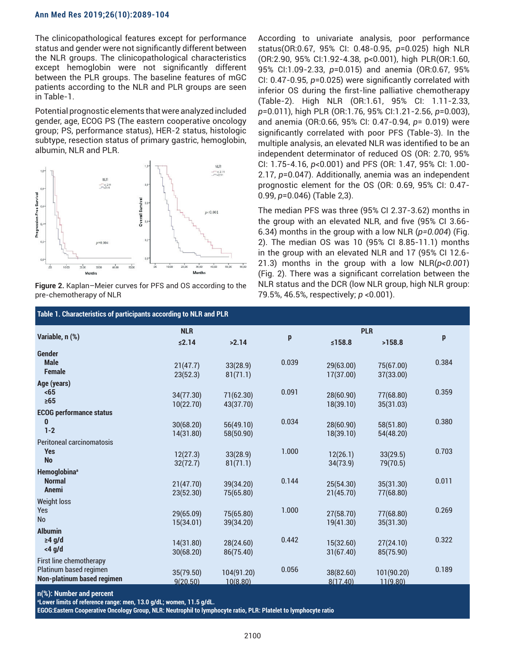#### **Ann Med Res 2019;26(10):2089-104**

The clinicopathological features except for performance status and gender were not significantly different between the NLR groups. The clinicopathological characteristics except hemoglobin were not significantly different between the PLR groups. The baseline features of mGC patients according to the NLR and PLR groups are seen in Table-1.

Potential prognostic elements that were analyzed included gender, age, ECOG PS (The eastern cooperative oncology group; PS, performance status), HER-2 status, histologic subtype, resection status of primary gastric, hemoglobin, albumin, NLR and PLR.



**Figure 2.** Kaplan–Meier curves for PFS and OS according to the pre-chemotherapy of NLR

According to univariate analysis, poor performance status(OR:0.67, 95% CI: 0.48-0.95, *p*=0.025) high NLR (OR:2.90, 95% CI:1.92-4.38, p<0.001), high PLR(OR:1.60, 95% CI:1.09-2.33, *p*=0.015) and anemia (OR:0.67, 95% CI: 0.47-0.95, *p*=0.025) were significantly correlated with inferior OS during the first-line palliative chemotherapy (Table-2). High NLR (OR:1.61, 95% CI: 1.11-2.33, *p*=0.011), high PLR (OR:1.76, 95% CI:1.21-2.56, *p*=0.003), and anemia (OR:0.66, 95% CI: 0.47-0.94, *p*= 0.019) were significantly correlated with poor PFS (Table-3). In the multiple analysis, an elevated NLR was identified to be an independent determinator of reduced OS (OR: 2.70, 95% CI: 1.75-4.16, *p*<0.001) and PFS (OR: 1.47, 95% CI: 1.00- 2.17, *p*=0.047). Additionally, anemia was an independent prognostic element for the OS (OR: 0.69, 95% CI: 0.47- 0.99, *p*=0.046) (Table 2,3).

The median PFS was three (95% CI 2.37-3.62) months in the group with an elevated NLR, and five (95% CI 3.66- 6.34) months in the group with a low NLR (*p=0.004*) (Fig. 2). The median OS was 10 (95% CI 8.85-11.1) months in the group with an elevated NLR and 17 (95% CI 12.6- 21.3) months in the group with a low NLR(*p<0.001*) (Fig. 2). There was a significant correlation between the NLR status and the DCR (low NLR group, high NLR group: 79.5%, 46.5%, respectively; *p* <0.001).

| Table 1. Characteristics of participants according to NLR and PLR |                                                                                                                                            |                                                                                                                                             |                                                |                                                                                                                               |                                                                                                                                             |  |  |  |  |
|-------------------------------------------------------------------|--------------------------------------------------------------------------------------------------------------------------------------------|---------------------------------------------------------------------------------------------------------------------------------------------|------------------------------------------------|-------------------------------------------------------------------------------------------------------------------------------|---------------------------------------------------------------------------------------------------------------------------------------------|--|--|--|--|
| <b>NLR</b>                                                        |                                                                                                                                            |                                                                                                                                             | <b>PLR</b>                                     |                                                                                                                               |                                                                                                                                             |  |  |  |  |
| ≤2.14                                                             | >2.14                                                                                                                                      |                                                                                                                                             | ≤158.8                                         | >158.8                                                                                                                        | p                                                                                                                                           |  |  |  |  |
|                                                                   |                                                                                                                                            |                                                                                                                                             |                                                |                                                                                                                               |                                                                                                                                             |  |  |  |  |
| 21(47.7)                                                          | 33(28.9)                                                                                                                                   |                                                                                                                                             | 29(63.00)                                      | 75(67.00)                                                                                                                     | 0.384                                                                                                                                       |  |  |  |  |
| 23(52.3)                                                          | 81(71.1)                                                                                                                                   |                                                                                                                                             | 17(37.00)                                      | 37(33.00)                                                                                                                     |                                                                                                                                             |  |  |  |  |
|                                                                   |                                                                                                                                            |                                                                                                                                             |                                                |                                                                                                                               | 0.359                                                                                                                                       |  |  |  |  |
|                                                                   |                                                                                                                                            |                                                                                                                                             |                                                |                                                                                                                               |                                                                                                                                             |  |  |  |  |
|                                                                   |                                                                                                                                            |                                                                                                                                             |                                                |                                                                                                                               |                                                                                                                                             |  |  |  |  |
|                                                                   |                                                                                                                                            |                                                                                                                                             |                                                |                                                                                                                               | 0.380                                                                                                                                       |  |  |  |  |
|                                                                   |                                                                                                                                            |                                                                                                                                             |                                                |                                                                                                                               |                                                                                                                                             |  |  |  |  |
|                                                                   |                                                                                                                                            |                                                                                                                                             |                                                |                                                                                                                               |                                                                                                                                             |  |  |  |  |
|                                                                   |                                                                                                                                            | 1.000                                                                                                                                       |                                                |                                                                                                                               | 0.703                                                                                                                                       |  |  |  |  |
| 32(72.7)                                                          | 81(71.1)                                                                                                                                   |                                                                                                                                             | 34(73.9)                                       | 79(70.5)                                                                                                                      |                                                                                                                                             |  |  |  |  |
|                                                                   |                                                                                                                                            |                                                                                                                                             |                                                |                                                                                                                               |                                                                                                                                             |  |  |  |  |
| 21(47.70)                                                         | 39(34.20)                                                                                                                                  |                                                                                                                                             | 25(54.30)                                      | 35(31.30)                                                                                                                     | 0.011                                                                                                                                       |  |  |  |  |
|                                                                   |                                                                                                                                            |                                                                                                                                             | 21(45.70)                                      |                                                                                                                               |                                                                                                                                             |  |  |  |  |
|                                                                   |                                                                                                                                            |                                                                                                                                             |                                                |                                                                                                                               | 0.269                                                                                                                                       |  |  |  |  |
|                                                                   |                                                                                                                                            |                                                                                                                                             |                                                |                                                                                                                               |                                                                                                                                             |  |  |  |  |
|                                                                   |                                                                                                                                            |                                                                                                                                             |                                                |                                                                                                                               |                                                                                                                                             |  |  |  |  |
|                                                                   |                                                                                                                                            | 0.442                                                                                                                                       |                                                |                                                                                                                               | 0.322                                                                                                                                       |  |  |  |  |
|                                                                   |                                                                                                                                            |                                                                                                                                             |                                                |                                                                                                                               |                                                                                                                                             |  |  |  |  |
|                                                                   |                                                                                                                                            |                                                                                                                                             |                                                |                                                                                                                               |                                                                                                                                             |  |  |  |  |
|                                                                   |                                                                                                                                            | 0.056                                                                                                                                       |                                                |                                                                                                                               | 0.189                                                                                                                                       |  |  |  |  |
| 9(20.50)                                                          | 10(8.80)                                                                                                                                   |                                                                                                                                             | 8(17.40)                                       | 11(9.80)                                                                                                                      |                                                                                                                                             |  |  |  |  |
|                                                                   | 34(77.30)<br>10(22.70)<br>30(68.20)<br>14(31.80)<br>12(27.3)<br>23(52.30)<br>29(65.09)<br>15(34.01)<br>14(31.80)<br>30(68.20)<br>35(79.50) | 71(62.30)<br>43(37.70)<br>56(49.10)<br>58(50.90)<br>33(28.9)<br>75(65.80)<br>75(65.80)<br>39(34.20)<br>28(24.60)<br>86(75.40)<br>104(91.20) | p<br>0.039<br>0.091<br>0.034<br>0.144<br>1.000 | 28(60.90)<br>18(39.10)<br>28(60.90)<br>18(39.10)<br>12(26.1)<br>27(58.70)<br>19(41.30)<br>15(32.60)<br>31(67.40)<br>38(82.60) | 77(68.80)<br>35(31.03)<br>58(51.80)<br>54(48.20)<br>33(29.5)<br>77(68.80)<br>77(68.80)<br>35(31.30)<br>27(24.10)<br>85(75.90)<br>101(90.20) |  |  |  |  |

**n(%): Number and percent**

**a Lower limits of reference range: men, 13.0 g/dL; women, 11.5 g/dL.**

**EGOG:Eastern Cooperative Oncology Group, NLR: Neutrophil to lymphocyte ratio, PLR: Platelet to lymphocyte ratio**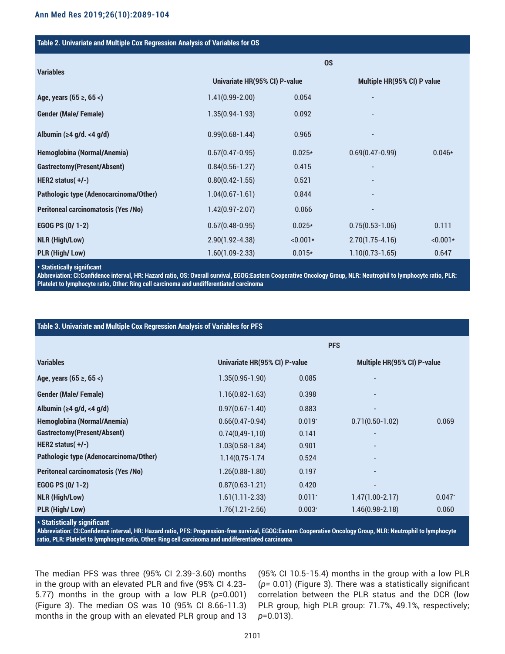#### **Table 2. Univariate and Multiple Cox Regression Analysis of Variables for OS**

| <b>Variables</b>                           | <b>OS</b>                     |            |                             |            |
|--------------------------------------------|-------------------------------|------------|-----------------------------|------------|
|                                            | Univariate HR(95% CI) P-value |            | Multiple HR(95% CI) P value |            |
| Age, years (65 ≥, 65 <)                    | $1.41(0.99 - 2.00)$           | 0.054      |                             |            |
| <b>Gender (Male/Female)</b>                | $1.35(0.94-1.93)$             | 0.092      |                             |            |
| Albumin ( $\geq 4$ g/d. <4 g/d)            | $0.99(0.68 - 1.44)$           | 0.965      |                             |            |
| Hemoglobina (Normal/Anemia)                | $0.67(0.47 - 0.95)$           | $0.025*$   | $0.69(0.47 - 0.99)$         | $0.046*$   |
| Gastrectomy(Present/Absent)                | $0.84(0.56 - 1.27)$           | 0.415      |                             |            |
| HER2 status $(+/-)$                        | $0.80(0.42 - 1.55)$           | 0.521      |                             |            |
| Pathologic type (Adenocarcinoma/Other)     | $1.04(0.67 - 1.61)$           | 0.844      |                             |            |
| <b>Peritoneal carcinomatosis (Yes /No)</b> | $1.42(0.97 - 2.07)$           | 0.066      |                             |            |
| EGOG PS (0/ 1-2)                           | $0.67(0.48-0.95)$             | $0.025*$   | $0.75(0.53 - 1.06)$         | 0.111      |
| <b>NLR (High/Low)</b>                      | $2.90(1.92 - 4.38)$           | $< 0.001*$ | $2.70(1.75-4.16)$           | $< 0.001*$ |
| PLR (High/Low)                             | $1.60(1.09 - 2.33)$           | $0.015*$   | $1.10(0.73 - 1.65)$         | 0.647      |

**\* Statistically significant**

**Abbreviation: CI:Confidence interval, HR: Hazard ratio, OS: Overall survival, EGOG:Eastern Cooperative Oncology Group, NLR: Neutrophil to lymphocyte ratio, PLR: Platelet to lymphocyte ratio, Other: Ring cell carcinoma and undifferentiated carcinoma**

### **Table 3. Univariate and Multiple Cox Regression Analysis of Variables for PFS**

|                                               |                               | <b>PFS</b>           |                             |          |  |  |
|-----------------------------------------------|-------------------------------|----------------------|-----------------------------|----------|--|--|
| <b>Variables</b>                              | Univariate HR(95% CI) P-value |                      | Multiple HR(95% CI) P-value |          |  |  |
| Age, years (65 ≥, 65 <)                       | $1.35(0.95 - 1.90)$           | 0.085                | $\overline{\phantom{0}}$    |          |  |  |
| <b>Gender (Male/Female)</b>                   | $1.16(0.82 - 1.63)$           | 0.398                | $\overline{\phantom{0}}$    |          |  |  |
| Albumin ( $\geq 4$ g/d, <4 g/d)               | $0.97(0.67 - 1.40)$           | 0.883                | -                           |          |  |  |
| Hemoglobina (Normal/Anemia)                   | $0.66(0.47 - 0.94)$           | $0.019*$             | $0.71(0.50-1.02)$           | 0.069    |  |  |
| Gastrectomy (Present/Absent)                  | $0.74(0.49-1.10)$             | 0.141                |                             |          |  |  |
| HER2 status $(+/-)$                           | $1.03(0.58 - 1.84)$           | 0.901                | -                           |          |  |  |
| <b>Pathologic type (Adenocarcinoma/Other)</b> | $1.14(0.75 - 1.74)$           | 0.524                |                             |          |  |  |
| <b>Peritoneal carcinomatosis (Yes /No)</b>    | $1.26(0.88 - 1.80)$           | 0.197                | $\overline{\phantom{0}}$    |          |  |  |
| EGOG PS (0/ 1-2)                              | $0.87(0.63 - 1.21)$           | 0.420                | $\overline{\phantom{0}}$    |          |  |  |
| <b>NLR (High/Low)</b>                         | $1.61(1.11 - 2.33)$           | $0.011$ <sup>*</sup> | $1.47(1.00 - 2.17)$         | $0.047*$ |  |  |
| PLR (High/Low)                                | $1.76(1.21 - 2.56)$           | $0.003*$             | $1.46(0.98 - 2.18)$         | 0.060    |  |  |

**\* Statistically significant**

**Abbreviation: CI:Confidence interval, HR: Hazard ratio, PFS: Progression-free survival, EGOG:Eastern Cooperative Oncology Group, NLR: Neutrophil to lymphocyte ratio, PLR: Platelet to lymphocyte ratio, Other: Ring cell carcinoma and undifferentiated carcinoma**

The median PFS was three (95% CI 2.39-3.60) months in the group with an elevated PLR and five (95% CI 4.23- 5.77) months in the group with a low PLR (*p=*0.001) (Figure 3). The median OS was 10 (95% CI 8.66-11.3) months in the group with an elevated PLR group and 13 (95% CI 10.5-15.4) months in the group with a low PLR (*p=* 0.01) (Figure 3). There was a statistically significant correlation between the PLR status and the DCR (low PLR group, high PLR group: 71.7%, 49.1%, respectively; *p*=0.013).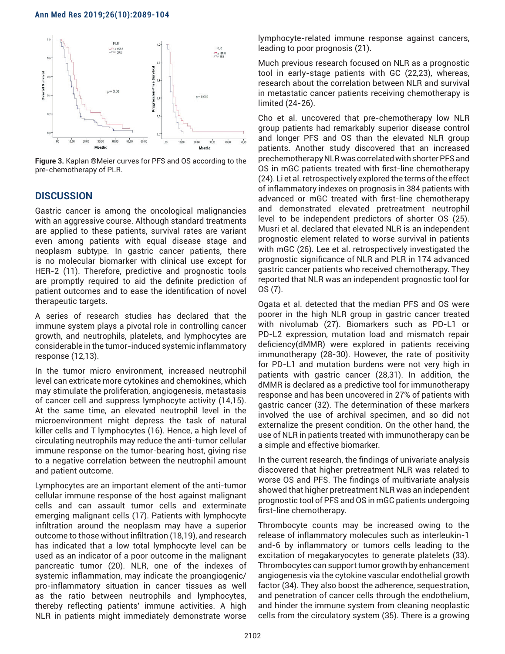

**Figure 3.** Kaplan ®Meier curves for PFS and OS according to the pre-chemotherapy of PLR.

# **DISCUSSION**

Gastric cancer is among the oncological malignancies with an aggressive course. Although standard treatments are applied to these patients, survival rates are variant even among patients with equal disease stage and neoplasm subtype. In gastric cancer patients, there is no molecular biomarker with clinical use except for HER-2 (11). Therefore, predictive and prognostic tools are promptly required to aid the definite prediction of patient outcomes and to ease the identification of novel therapeutic targets.

A series of research studies has declared that the immune system plays a pivotal role in controlling cancer growth, and neutrophils, platelets, and lymphocytes are considerable in the tumor-induced systemic inflammatory response (12,13).

In the tumor micro environment, increased neutrophil level can extricate more cytokines and chemokines, which may stimulate the proliferation, angiogenesis, metastasis of cancer cell and suppress lymphocyte activity (14,15). At the same time, an elevated neutrophil level in the microenvironment might depress the task of natural killer cells and T lymphocytes (16). Hence, a high level of circulating neutrophils may reduce the anti-tumor cellular immune response on the tumor-bearing host, giving rise to a negative correlation between the neutrophil amount and patient outcome.

Lymphocytes are an important element of the anti-tumor cellular immune response of the host against malignant cells and can assault tumor cells and exterminate emerging malignant cells (17). Patients with lymphocyte infiltration around the neoplasm may have a superior outcome to those without infiltration (18,19), and research has indicated that a low total lymphocyte level can be used as an indicator of a poor outcome in the malignant pancreatic tumor (20). NLR, one of the indexes of systemic inflammation, may indicate the proangiogenic/ pro-inflammatory situation in cancer tissues as well as the ratio between neutrophils and lymphocytes, thereby reflecting patients' immune activities. A high NLR in patients might immediately demonstrate worse lymphocyte-related immune response against cancers, leading to poor prognosis (21).

Much previous research focused on NLR as a prognostic tool in early-stage patients with GC (22,23), whereas, research about the correlation between NLR and survival in metastatic cancer patients receiving chemotherapy is limited (24-26).

Cho et al. uncovered that pre-chemotherapy low NLR group patients had remarkably superior disease control and longer PFS and OS than the elevated NLR group patients. Another study discovered that an increased prechemotherapy NLR was correlated with shorter PFS and OS in mGC patients treated with first-line chemotherapy (24). Li et al. retrospectively explored the terms of the effect of inflammatory indexes on prognosis in 384 patients with advanced or mGC treated with first-line chemotherapy and demonstrated elevated pretreatment neutrophil level to be independent predictors of shorter OS (25). Musri et al. declared that elevated NLR is an independent prognostic element related to worse survival in patients with mGC (26). Lee et al. retrospectively investigated the prognostic significance of NLR and PLR in 174 advanced gastric cancer patients who received chemotherapy. They reported that NLR was an independent prognostic tool for OS (7).

Ogata et al. detected that the median PFS and OS were poorer in the high NLR group in gastric cancer treated with nivolumab (27). Biomarkers such as PD-L1 or PD-L2 expression, mutation load and mismatch repair deficiency(dMMR) were explored in patients receiving immunotherapy (28-30). However, the rate of positivity for PD-L1 and mutation burdens were not very high in patients with gastric cancer (28,31). In addition, the dMMR is declared as a predictive tool for immunotherapy response and has been uncovered in 27% of patients with gastric cancer (32). The determination of these markers involved the use of archival specimen, and so did not externalize the present condition. On the other hand, the use of NLR in patients treated with immunotherapy can be a simple and effective biomarker.

In the current research, the findings of univariate analysis discovered that higher pretreatment NLR was related to worse OS and PFS. The findings of multivariate analysis showed that higher pretreatment NLR was an independent prognostic tool of PFS and OS in mGC patients undergoing first-line chemotherapy.

Thrombocyte counts may be increased owing to the release of inflammatory molecules such as interleukin-1 and-6 by inflammatory or tumors cells leading to the excitation of megakaryocytes to generate platelets (33). Thrombocytes can support tumor growth by enhancement angiogenesis via the cytokine vascular endothelial growth factor (34). They also boost the adherence, sequestration, and penetration of cancer cells through the endothelium, and hinder the immune system from cleaning neoplastic cells from the circulatory system (35). There is a growing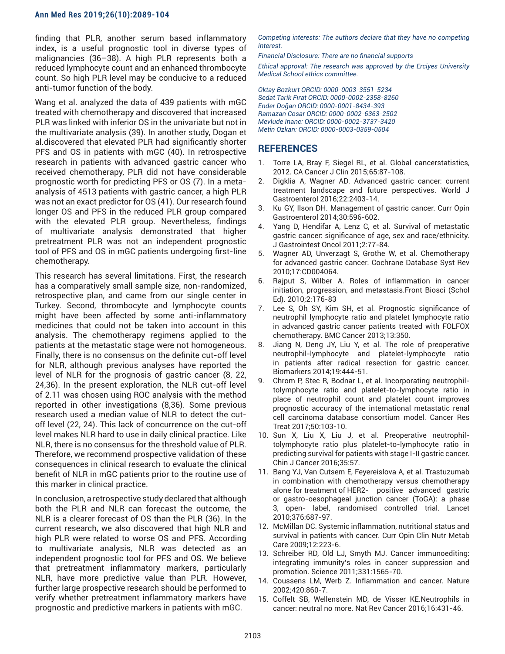finding that PLR, another serum based inflammatory index, is a useful prognostic tool in diverse types of malignancies (36–38). A high PLR represents both a reduced lymphocyte count and an enhanced thrombocyte count. So high PLR level may be conducive to a reduced anti-tumor function of the body.

Wang et al. analyzed the data of 439 patients with mGC treated with chemotherapy and discovered that increased PLR was linked with inferior OS in the univariate but not in the multivariate analysis (39). In another study, Dogan et al.discovered that elevated PLR had significantly shorter PFS and OS in patients with mGC (40). In retrospective research in patients with advanced gastric cancer who received chemotherapy, PLR did not have considerable prognostic worth for predicting PFS or OS (7). In a metaanalysis of 4513 patients with gastric cancer, a high PLR was not an exact predictor for OS (41). Our research found longer OS and PFS in the reduced PLR group compared with the elevated PLR group. Nevertheless, findings of multivariate analysis demonstrated that higher pretreatment PLR was not an independent prognostic tool of PFS and OS in mGC patients undergoing first-line chemotherapy.

This research has several limitations. First, the research has a comparatively small sample size, non-randomized, retrospective plan, and came from our single center in Turkey. Second, thrombocyte and lymphocyte counts might have been affected by some anti-inflammatory medicines that could not be taken into account in this analysis. The chemotherapy regimens applied to the patients at the metastatic stage were not homogeneous. Finally, there is no consensus on the definite cut-off level for NLR, although previous analyses have reported the level of NLR for the prognosis of gastric cancer (8, 22, 24,36). In the present exploration, the NLR cut-off level of 2.11 was chosen using ROC analysis with the method reported in other investigations (8,36). Some previous research used a median value of NLR to detect the cutoff level (22, 24). This lack of concurrence on the cut-off level makes NLR hard to use in daily clinical practice. Like NLR, there is no consensus for the threshold value of PLR. Therefore, we recommend prospective validation of these consequences in clinical research to evaluate the clinical benefit of NLR in mGC patients prior to the routine use of this marker in clinical practice.

In conclusion, a retrospective study declared that although both the PLR and NLR can forecast the outcome, the NLR is a clearer forecast of OS than the PLR (36). In the current research, we also discovered that high NLR and high PLR were related to worse OS and PFS. According to multivariate analysis, NLR was detected as an independent prognostic tool for PFS and OS. We believe that pretreatment inflammatory markers, particularly NLR, have more predictive value than PLR. However, further large prospective research should be performed to verify whether pretreatment inflammatory markers have prognostic and predictive markers in patients with mGC.

*Competing interests: The authors declare that they have no competing interest.* 

*Financial Disclosure: There are no financial supports* 

*Ethical approval: The research was approved by the Erciyes University Medical School ethics committee.*

*Oktay Bozkurt ORCID: 0000-0003-3551-5234 Sedat Tarik Fırat ORCID: 0000-0002-2358-8260 Ender Doğan ORCID: 0000-0001-8434-393 Ramazan Cosar ORCID: 0000-0002-6363-2502 Mevlude Inanc: ORCID: 0000-0002-3737-3420 Metin Ozkan: ORCID: 0000-0003-0359-0504*

# **REFERENCES**

- 1. Torre LA, Bray F, Siegel RL, et al. Global cancerstatistics, 2012. CA Cancer J Clin 2015;65:87-108.
- 2. Digklia A, Wagner AD. Advanced gastric cancer: current treatment landscape and future perspectives. World J Gastroenterol 2016;22:2403-14.
- 3. Ku GY, Ilson DH. Management of gastric cancer. Curr Opin Gastroenterol 2014;30:596-602.
- Yang D, Hendifar A, Lenz C, et al. Survival of metastatic gastric cancer: significance of age, sex and race/ethnicity. J Gastrointest Oncol 2011;2:77-84.
- 5. Wagner AD, Unverzagt S, Grothe W, et al. Chemotherapy for advanced gastric cancer. Cochrane Database Syst Rev 2010;17:CD004064.
- 6. Rajput S, Wilber A. Roles of inflammation in cancer initiation, progression, and metastasis.Front Biosci (Schol Ed). 2010;2:176-83
- 7. Lee S, Oh SY, Kim SH, et al. Prognostic significance of neutrophil lymphocyte ratio and platelet lymphocyte ratio in advanced gastric cancer patients treated with FOLFOX chemotherapy. BMC Cancer 2013;13:350.
- 8. Jiang N, Deng JY, Liu Y, et al. The role of preoperative neutrophil-lymphocyte and platelet-lymphocyte ratio in patients after radical resection for gastric cancer. Biomarkers 2014;19:444-51.
- 9. Chrom P, Stec R, Bodnar L, et al. Incorporating neutrophiltolymphocyte ratio and platelet-to-lymphocyte ratio in place of neutrophil count and platelet count improves prognostic accuracy of the international metastatic renal cell carcinoma database consortium model. Cancer Res Treat 2017;50:103-10.
- 10. Sun X, Liu X, Liu J, et al. Preoperative neutrophiltolymphocyte ratio plus platelet-to-lymphocyte ratio in predicting survival for patients with stage I-II gastric cancer. Chin J Cancer 2016;35:57.
- 11. Bang YJ, Van Cutsem E, Feyereislova A, et al. Trastuzumab in combination with chemotherapy versus chemotherapy alone for treatment of HER2- positive advanced gastric or gastro-oesophageal junction cancer (ToGA): a phase 3, open- label, randomised controlled trial. Lancet 2010;376:687-97.
- 12. McMillan DC. Systemic inflammation, nutritional status and survival in patients with cancer. Curr Opin Clin Nutr Metab Care 2009;12:223-6.
- 13. Schreiber RD, Old LJ, Smyth MJ. Cancer immunoediting: integrating immunity's roles in cancer suppression and promotion. Science 2011;331:1565-70.
- 14. Coussens LM, Werb Z. Inflammation and cancer. Nature 2002;420:860-7.
- 15. Coffelt SB, Wellenstein MD, de Visser KE.Neutrophils in cancer: neutral no more. Nat Rev Cancer 2016;16:431-46.